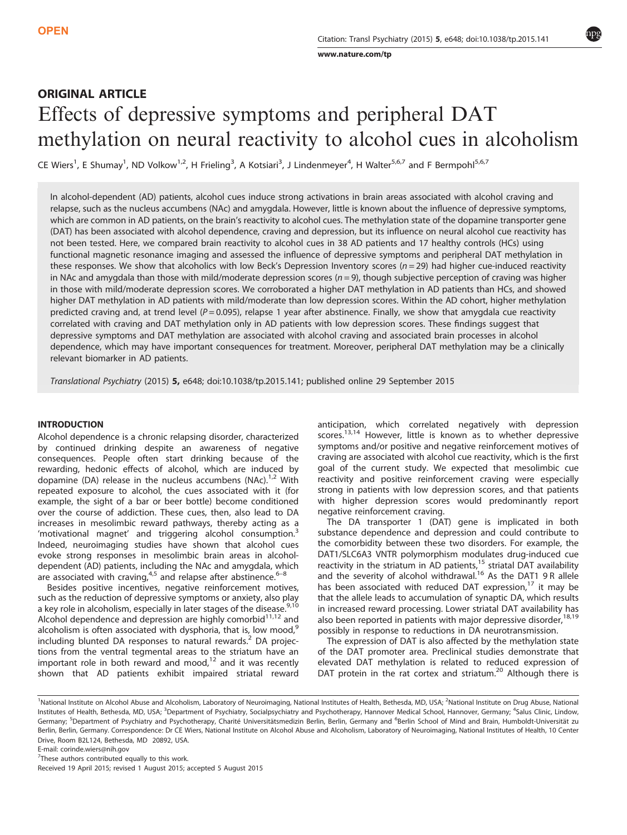[www.nature.com/tp](http://www.nature.com/tp)

# ORIGINAL ARTICLE Effects of depressive symptoms and peripheral DAT methylation on neural reactivity to alcohol cues in alcoholism

CE Wiers<sup>1</sup>, E Shumay<sup>1</sup>, ND Volkow<sup>1,2</sup>, H Frieling<sup>3</sup>, A Kotsiari<sup>3</sup>, J Lindenmeyer<sup>4</sup>, H Walter<sup>5,6,7</sup> and F Bermpohl<sup>5,6,7</sup>

In alcohol-dependent (AD) patients, alcohol cues induce strong activations in brain areas associated with alcohol craving and relapse, such as the nucleus accumbens (NAc) and amygdala. However, little is known about the influence of depressive symptoms, which are common in AD patients, on the brain's reactivity to alcohol cues. The methylation state of the dopamine transporter gene (DAT) has been associated with alcohol dependence, craving and depression, but its influence on neural alcohol cue reactivity has not been tested. Here, we compared brain reactivity to alcohol cues in 38 AD patients and 17 healthy controls (HCs) using functional magnetic resonance imaging and assessed the influence of depressive symptoms and peripheral DAT methylation in these responses. We show that alcoholics with low Beck's Depression Inventory scores ( $n = 29$ ) had higher cue-induced reactivity in NAc and amygdala than those with mild/moderate depression scores  $(n = 9)$ , though subjective perception of craving was higher in those with mild/moderate depression scores. We corroborated a higher DAT methylation in AD patients than HCs, and showed higher DAT methylation in AD patients with mild/moderate than low depression scores. Within the AD cohort, higher methylation predicted craving and, at trend level ( $P = 0.095$ ), relapse 1 year after abstinence. Finally, we show that amygdala cue reactivity correlated with craving and DAT methylation only in AD patients with low depression scores. These findings suggest that depressive symptoms and DAT methylation are associated with alcohol craving and associated brain processes in alcohol dependence, which may have important consequences for treatment. Moreover, peripheral DAT methylation may be a clinically relevant biomarker in AD patients.

Translational Psychiatry (2015) 5, e648; doi:10.1038/tp.2015.141; published online 29 September 2015

# INTRODUCTION

Alcohol dependence is a chronic relapsing disorder, characterized by continued drinking despite an awareness of negative consequences. People often start drinking because of the rewarding, hedonic effects of alcohol, which are induced by dopamine (DA) release in the nucleus accumbens (NAc). $1,2$  With repeated exposure to alcohol, the cues associated with it (for example, the sight of a bar or beer bottle) become conditioned over the course of addiction. These cues, then, also lead to DA increases in mesolimbic reward pathways, thereby acting as a 'motivational magnet' and triggering alcohol consumption.<sup>[3](#page-6-0)</sup> Indeed, neuroimaging studies have shown that alcohol cues evoke strong responses in mesolimbic brain areas in alcoholdependent (AD) patients, including the NAc and amygdala, [wh](#page-6-0)ich are associated with craving, $4.5$  and relapse after abstinence. $6-8$ 

Besides positive incentives, negative reinforcement motives, such as the reduction of depressive symptoms or anxiety, also play a key role in alcoholism, especially in later stages of the disease.<sup>[9,10](#page-6-0)</sup> Alcohol dependence and depression are highly comorbid $11,12$  and alcoholism is often associated with dysphoria, that is, low mood,<sup>[9](#page-6-0)</sup> including blunted DA responses to natural rewards.<sup>[2](#page-6-0)</sup> DA projections from the ventral tegmental areas to the striatum have an increased the contract regimental dieds to the children rate on important role in both reward and mood,<sup>[12](#page-6-0)</sup> and it was recently shown that AD patients exhibit impaired striatal reward anticipation, which correlated negatively with depression scores.<sup>[13,14](#page-6-0)</sup> However, little is known as to whether depressive symptoms and/or positive and negative reinforcement motives of craving are associated with alcohol cue reactivity, which is the first goal of the current study. We expected that mesolimbic cue reactivity and positive reinforcement craving were especially strong in patients with low depression scores, and that patients with higher depression scores would predominantly report negative reinforcement craving.

The DA transporter 1 (DAT) gene is implicated in both substance dependence and depression and could contribute to the comorbidity between these two disorders. For example, the DAT1/SLC6A3 VNTR polymorphism modulates drug-induced cue reactivity in the striatum in AD patients,<sup>[15](#page-6-0)</sup> striatal DAT availability and the severity of alcohol withdrawal.<sup>[16](#page-6-0)</sup> As the DAT1 9R allele has been associated with reduced DAT expression, $17$  it may be that the allele leads to accumulation of synaptic DA, which results in increased reward processing. Lower striatal DAT availability has also been reported in patients with major depressive disorder,<sup>[18,19](#page-6-0)</sup> possibly in response to reductions in DA neurotransmission.

The expression of DAT is also affected by the methylation state of the DAT promoter area. Preclinical studies demonstrate that elevated DAT methylation is related to reduced expression of DAT protein in the rat cortex and striatum.<sup>[20](#page-6-0)</sup> Although there is

<sup>&</sup>lt;sup>1</sup>National Institute on Alcohol Abuse and Alcoholism, Laboratory of Neuroimaging, National Institutes of Health, Bethesda, MD, USA; <sup>2</sup>National Institute on Drug Abuse, National Institutes of Health, Bethesda, MD, USA; <sup>3</sup>Department of Psychiatry, Socialpsychiatry and Psychotherapy, Hannover Medical School, Hannover, Germany; <sup>4</sup>Salus Clinic, Lindow, Germany; <sup>5</sup>Department of Psychiatry and Psychotherapy, Charité Universitätsmedizin Berlin, Berlin, Germany and <sup>6</sup>Berlin School of Mind and Brain, Humboldt-Universität zu Berlin, Berlin, Germany. Correspondence: Dr CE Wiers, National Institute on Alcohol Abuse and Alcoholism, Laboratory of Neuroimaging, National Institutes of Health, 10 Center Drive, Room B2L124, Bethesda, MD 20892, USA.

E-mail: [corinde.wiers@nih.gov](mailto:corinde.wiers@nih.gov)

 $7$ These authors contributed equally to this work.

Received 19 April 2015; revised 1 August 2015; accepted 5 August 2015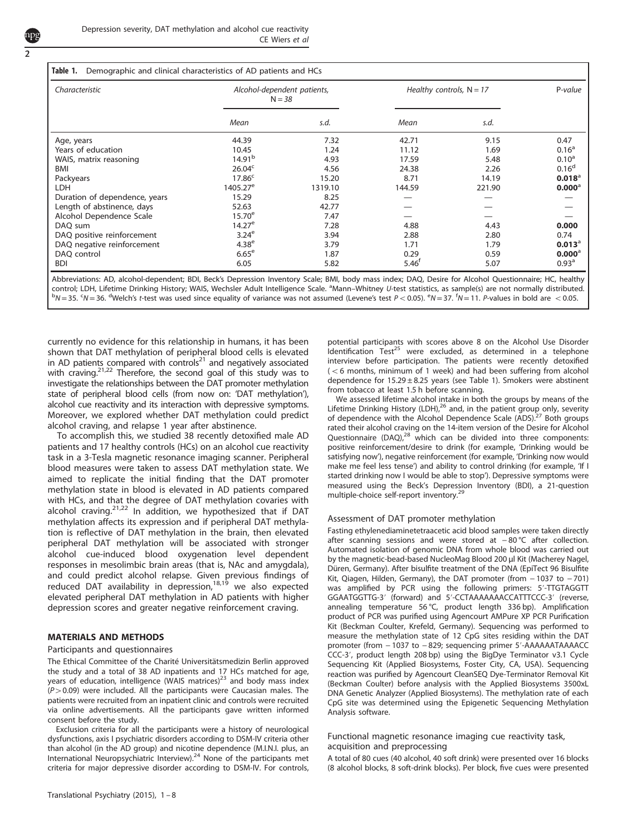<span id="page-1-0"></span>

| Characteristic                | Alcohol-dependent patients,<br>$N = 38$ |         | Healthy controls, $N = 17$ |        | P-value            |
|-------------------------------|-----------------------------------------|---------|----------------------------|--------|--------------------|
|                               | Mean                                    | s.d.    | Mean                       | s.d.   |                    |
| Age, years                    | 44.39                                   | 7.32    | 42.71                      | 9.15   | 0.47               |
| Years of education            | 10.45                                   | 1.24    | 11.12                      | 1.69   | 0.16 <sup>a</sup>  |
| WAIS, matrix reasoning        | 14.91 <sup>b</sup>                      | 4.93    | 17.59                      | 5.48   | $0.10^a$           |
| <b>BMI</b>                    | 26.04 <sup>c</sup>                      | 4.56    | 24.38                      | 2.26   | 0.16 <sup>d</sup>  |
| Packyears                     | $17.86^c$                               | 15.20   | 8.71                       | 14.19  | $0.018^{\circ}$    |
| <b>LDH</b>                    | $1405.27^e$                             | 1319.10 | 144.59                     | 221.90 | $0.000^{\circ}$    |
| Duration of dependence, years | 15.29                                   | 8.25    |                            |        |                    |
| Length of abstinence, days    | 52.63                                   | 42.77   |                            |        |                    |
| Alcohol Dependence Scale      | $15.70^{\circ}$                         | 7.47    |                            |        |                    |
| DAQ sum                       | $14.27^e$                               | 7.28    | 4.88                       | 4.43   | 0.000              |
| DAQ positive reinforcement    | 3.24 <sup>e</sup>                       | 3.94    | 2.88                       | 2.80   | 0.74               |
| DAQ negative reinforcement    | 4.38 <sup>e</sup>                       | 3.79    | 1.71                       | 1.79   | $0.013^{\circ}$    |
| DAQ control                   | $6.65^{\mathrm{e}}$                     | 1.87    | 0.29                       | 0.59   | $0.000^{\text{a}}$ |
| <b>BDI</b>                    | 6.05                                    | 5.82    | $5.46^T$                   | 5.07   | 0.93 <sup>a</sup>  |

Abbreviations: AD, alcohol-dependent; BDI, Beck's Depression Inventory Scale; BMI, body mass index; DAQ, Desire for Alcohol Questionnaire; HC, healthy control; LDH, Lifetime Drinking History; WAIS, Wechsler Adult Intelligence Scale. <sup>a</sup>Mann–Whitney U-test statistics, as sample(s) are not normally distributed.<br>PM - 25, SM - 26, <sup>d</sup>Welch's t test was used since organized  $N = 35$ .  $5N = 36$ . <sup>d</sup>Welch's t-test was used since equality of variance was not assumed (Levene's test  $P < 0.05$ ).  $eN = 37$ .  $5N = 11$ . P-values in bold are  $0.05$ .

currently no evidence for this relationship in humans, it has been shown that DAT methylation of peripheral blood cells is elevated in AD patients compared with controls $21$  and negatively associated with craving.<sup>21,[22](#page-6-0)</sup> Therefore, the second goal of this study was to investigate the relationships between the DAT promoter methylation state of peripheral blood cells (from now on: 'DAT methylation'), alcohol cue reactivity and its interaction with depressive symptoms. Moreover, we explored whether DAT methylation could predict alcohol craving, and relapse 1 year after abstinence.

To accomplish this, we studied 38 recently detoxified male AD patients and 17 healthy controls (HCs) on an alcohol cue reactivity task in a 3-Tesla magnetic resonance imaging scanner. Peripheral blood measures were taken to assess DAT methylation state. We aimed to replicate the initial finding that the DAT promoter methylation state in blood is elevated in AD patients compared with HCs, and that the degree of DAT methylation covaries with alcohol craving.<sup>[21](#page-6-0),[22](#page-6-0)</sup> In addition, we hypothesized that if DAT methylation affects its expression and if peripheral DAT methylation is reflective of DAT methylation in the brain, then elevated peripheral DAT methylation will be associated with stronger alcohol cue-induced blood oxygenation level dependent responses in mesolimbic brain areas (that is, NAc and amygdala), and could predict alcohol relapse. Given previous findings of reduced DAT availability in depression,<sup>[18,19](#page-6-0)</sup> we also expected elevated peripheral DAT methylation in AD patients with higher depression scores and greater negative reinforcement craving.

# MATERIALS AND METHODS

## Participants and questionnaires

The Ethical Committee of the Charité Universitätsmedizin Berlin approved the study and a total of 38 AD inpatients and 17 HCs matched for age, years of education, intelligence (WAIS matrices)<sup>23</sup> and body mass index  $(P > 0.09)$  were included. All the participants were Caucasian males. The patients were recruited from an inpatient clinic and controls were recruited via online advertisements. All the participants gave written informed consent before the study.

Exclusion criteria for all the participants were a history of neurological dysfunctions, axis I psychiatric disorders according to DSM-IV criteria other than alcohol (in the AD group) and nicotine dependence (M.I.N.I. plus, an International Neuropsychiatric Interview).<sup>[24](#page-6-0)</sup> None of the participants met criteria for major depressive disorder according to DSM-IV. For controls, potential participants with scores above 8 on the Alcohol Use Disorder Identification Test<sup>25</sup> were excluded, as determined in a telephone interview before participation. The patients were recently detoxified  $(<$  6 months, minimum of 1 week) and had been suffering from alcohol dependence for  $15.29 \pm 8.25$  years (see Table 1). Smokers were abstinent from tobacco at least 1.5 h before scanning.

We assessed lifetime alcohol intake in both the groups by means of the Lifetime Drinking History (LDH), $^{26}$  and, in the patient group only, severity of dependence with the Alcohol Dependence Scale (ADS).<sup>27</sup> Both groups rated their alcohol craving on the 14-item version of the Desire for Alcohol Questionnaire (DAQ),<sup>[28](#page-6-0)</sup> which can be divided into three components: positive reinforcement/desire to drink (for example, 'Drinking would be satisfying now'), negative reinforcement (for example, 'Drinking now would make me feel less tense') and ability to control drinking (for example, 'If I started drinking now I would be able to stop'). Depressive symptoms were measured using the Beck's Depression Inventory (BDI), a 21-question multiple-choice self-report inventory.<sup>[29](#page-6-0)</sup>

## Assessment of DAT promoter methylation

Fasting ethylenediaminetetraacetic acid blood samples were taken directly after scanning sessions and were stored at − 80 °C after collection. Automated isolation of genomic DNA from whole blood was carried out by the magnetic-bead-based NucleoMag Blood 200 μl Kit (Macherey Nagel, Düren, Germany). After bisulfite treatment of the DNA (EpiTect 96 Bisulfite Kit, Qiagen, Hilden, Germany), the DAT promoter (from − 1037 to − 701) was amplified by PCR using the following primers: 5'-TTGTAGGTT GGAATGGTTG-3′ (forward) and 5′-CCTAAAAAAACCATTTCCC-3′ (reverse, annealing temperature 56 °C, product length 336 bp). Amplification product of PCR was purified using Agencourt AMPure XP PCR Purification Kit (Beckman Coulter, Krefeld, Germany). Sequencing was performed to measure the methylation state of 12 CpG sites residing within the DAT promoter (from -1037 to -829; sequencing primer 5'-AAAAAATAAAACC CCC-3′, product length 208 bp) using the BigDye Terminator v3.1 Cycle Sequencing Kit (Applied Biosystems, Foster City, CA, USA). Sequencing reaction was purified by Agencourt CleanSEQ Dye-Terminator Removal Kit (Beckman Coulter) before analysis with the Applied Biosystems 3500xL DNA Genetic Analyzer (Applied Biosystems). The methylation rate of each CpG site was determined using the Epigenetic Sequencing Methylation Analysis software.

Functional magnetic resonance imaging cue reactivity task, acquisition and preprocessing

A total of 80 cues (40 alcohol, 40 soft drink) were presented over 16 blocks (8 alcohol blocks, 8 soft-drink blocks). Per block, five cues were presented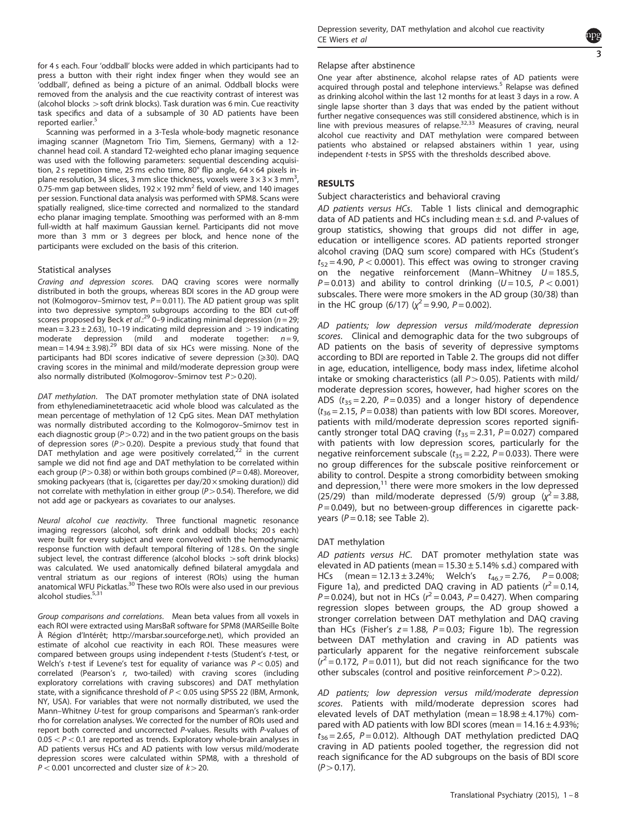for 4 s each. Four 'oddball' blocks were added in which participants had to press a button with their right index finger when they would see an 'oddball', defined as being a picture of an animal. Oddball blocks were removed from the analysis and the cue reactivity contrast of interest was (alcohol blocks  $>$  soft drink blocks). Task duration was 6 min. Cue reactivity task specifics and data of a subsample of 30 AD patients have been reported earlier.<sup>[5](#page-6-0)</sup>

Scanning was performed in a 3-Tesla whole-body magnetic resonance imaging scanner (Magnetom Trio Tim, Siemens, Germany) with a 12 channel head coil. A standard T2-weighted echo planar imaging sequence was used with the following parameters: sequential descending acquisition, 2 s repetition time, 25 ms echo time, 80 $^{\circ}$  flip angle, 64  $\times$  64 pixels inplane resolution, 34 slices, 3 mm slice thickness, voxels were  $3 \times 3 \times 3$  mm<sup>3</sup>, , 0.75-mm gap between slides, 192 $\times$  192 mm<sup>2</sup> field of view, and 140 images per session. Functional data analysis was performed with SPM8. Scans were spatially realigned, slice-time corrected and normalized to the standard echo planar imaging template. Smoothing was performed with an 8-mm full-width at half maximum Gaussian kernel. Participants did not move more than 3 mm or 3 degrees per block, and hence none of the participants were excluded on the basis of this criterion.

# Statistical analyses

Craving and depression scores. DAQ craving scores were normally distributed in both the groups, whereas BDI scores in the AD group were not (Kolmogorov–Smirnov test,  $P = 0.011$ ). The AD patient group was split into two depressive symptom subgroups according to the BDI cut-off scores proposed by Beck et al.:<sup>[29](#page-6-0)</sup> 0–9 indicating minimal depression ( $n = 29$ ; mean =  $3.23 \pm 2.63$ ), 10-19 indicating mild depression and  $>$  19 indicating moderate depression (mild and moderate together:  $n=9$ , mean =  $14.94 \pm 3.98$ ).<sup>[29](#page-6-0)</sup> BDI data of six HCs were missing. None of the participants had BDI scores indicative of severe depression  $(\geq 30)$ . DAQ craving scores in the minimal and mild/moderate depression group were also normally distributed (Kolmogorov–Smirnov test  $P > 0.20$ ).

DAT methylation. The DAT promoter methylation state of DNA isolated from ethylenediaminetetraacetic acid whole blood was calculated as the mean percentage of methylation of 12 CpG sites. Mean DAT methylation was normally distributed according to the Kolmogorov–Smirnov test in each diagnostic group ( $P > 0.72$ ) and in the two patient groups on the basis of depression sores ( $P > 0.20$ ). Despite a previous study that found that DAT methylation and age were positively correlated,<sup>[22](#page-6-0)</sup> in the current sample we did not find age and DAT methylation to be correlated within each group ( $P > 0.38$ ) or within both groups combined ( $P = 0.48$ ). Moreover, smoking packyears (that is, (cigarettes per day/20 $\times$  smoking duration)) did not correlate with methylation in either group ( $P > 0.54$ ). Therefore, we did not add age or packyears as covariates to our analyses.

Neural alcohol cue reactivity. Three functional magnetic resonance imaging regressors (alcohol, soft drink and oddball blocks; 20 s each) were built for every subject and were convolved with the hemodynamic response function with default temporal filtering of 128 s. On the single subject level, the contrast difference (alcohol blocks  $>$  soft drink blocks) was calculated. We used anatomically defined bilateral amygdala and ventral striatum as our regions of interest (ROIs) using the human<br>anatomical WFU Pickatlas.<sup>30</sup> These two ROIs were also used in our previous alcohol studies.<sup>[5,31](#page-6-0)</sup>

Group comparisons and correlations. Mean beta values from all voxels in each ROI were extracted using MarsBaR software for SPM8 (MARSeille Boîte À Région d'Intérêt;<http://marsbar.sourceforge.net>), which provided an estimate of alcohol cue reactivity in each ROI. These measures were compared between groups using independent t-tests (Student's t-test, or Welch's t-test if Levene's test for equality of variance was  $P < 0.05$ ) and correlated (Pearson's r, two-tailed) with craving scores (including exploratory correlations with craving subscores) and DAT methylation state, with a significance threshold of  $P < 0.05$  using SPSS 22 (IBM, Armonk, NY, USA). For variables that were not normally distributed, we used the Mann–Whitney U-test for group comparisons and Spearman's rank-order rho for correlation analyses. We corrected for the number of ROIs used and report both corrected and uncorrected P-values. Results with P-values of  $0.05 < P < 0.1$  are reported as trends. Exploratory whole-brain analyses in AD patients versus HCs and AD patients with low versus mild/moderate depression scores were calculated within SPM8, with a threshold of  $P < 0.001$  uncorrected and cluster size of  $k > 20$ .



#### Relapse after abstinence

One year after abstinence, alcohol relapse rates of AD patients were acquired through postal and telephone interviews.<sup>[5](#page-6-0)</sup> Relapse was defined as drinking alcohol within the last 12 months for at least 3 days in a row. A single lapse shorter than 3 days that was ended by the patient without further negative consequences was still considered abstinence, which is in<br>line with previous measures of relapse.<sup>[32,33](#page-6-0)</sup> Measures of craving, neural alcohol cue reactivity and DAT methylation were compared between patients who abstained or relapsed abstainers within 1 year, using independent t-tests in SPSS with the thresholds described above.

# RESULTS

#### Subject characteristics and behavioral craving

AD patients versus HCs. [Table 1](#page-1-0) lists clinical and demographic data of AD patients and HCs including mean  $\pm$  s.d. and P-values of group statistics, showing that groups did not differ in age, education or intelligence scores. AD patients reported stronger alcohol craving (DAQ sum score) compared with HCs (Student's  $t_{52} = 4.90$ ,  $P < 0.0001$ ). This effect was owing to stronger craving on the negative reinforcement (Mann–Whitney  $U = 185.5$ ,  $P = 0.013$ ) and ability to control drinking ( $U = 10.5$ ,  $P < 0.001$ ) subscales. There were more smokers in the AD group (30/38) than in the HC group (6/17) ( $\chi^2$  = 9.90, P = 0.002).

AD patients; low depression versus mild/moderate depression scores. Clinical and demographic data for the two subgroups of AD patients on the basis of severity of depressive symptoms according to BDI are reported in [Table 2.](#page-3-0) The groups did not differ in age, education, intelligence, body mass index, lifetime alcohol intake or smoking characteristics (all  $P > 0.05$ ). Patients with mild/ moderate depression scores, however, had higher scores on the ADS ( $t_{35} = 2.20$ ,  $P = 0.035$ ) and a longer history of dependence  $(t_{36} = 2.15, P = 0.038)$  than patients with low BDI scores. Moreover, patients with mild/moderate depression scores reported significantly stronger total DAQ craving  $(t_{35} = 2.31, P = 0.027)$  compared with patients with low depression scores, particularly for the negative reinforcement subscale ( $t_{35}$  = 2.22,  $P$  = 0.033). There were no group differences for the subscale positive reinforcement or ability to control. Despite a strong comorbidity between smoking and depression,<sup>[11](#page-6-0)</sup> there were more smokers in the low depressed  $(25/29)$  than mild/moderate depressed (5/9) group  $\sqrt{\chi^2}$  = 3.88,  $P = 0.049$ ), but no between-group differences in cigarette packyears ( $P = 0.18$ ; see [Table 2](#page-3-0)).

## DAT methylation

AD patients versus HC. DAT promoter methylation state was elevated in AD patients (mean =  $15.30 \pm 5.14\%$  s.d.) compared with HCs (mean = 12.13 ± 3.24%; Welch's  $t_{46.7} = 2.76$ ,  $P = 0.008$ ; [Figure 1a\)](#page-3-0), and predicted DAQ craving in AD patients  $(r^2 = 0.14)$  $P = 0.024$ ), but not in HCs ( $r^2 = 0.043$ ,  $P = 0.427$ ). When comparing regression slopes between groups, the AD group showed a stronger correlation between DAT methylation and DAQ craving than HCs (Fisher's  $z = 1.88$ ,  $P = 0.03$ ; [Figure 1b\)](#page-3-0). The regression between DAT methylation and craving in AD patients was particularly apparent for the negative reinforcement subscale  $(r^2 = 0.172, P = 0.011)$ , but did not reach significance for the two other subscales (control and positive reinforcement  $P > 0.22$ ).

AD patients; low depression versus mild/moderate depression scores. Patients with mild/moderate depression scores had elevated levels of DAT methylation (mean =  $18.98 \pm 4.17$ %) compared with AD patients with low BDI scores (mean =  $14.16 \pm 4.93\%$ ;  $t_{36} = 2.65$ ,  $P = 0.012$ ). Although DAT methylation predicted DAQ craving in AD patients pooled together, the regression did not reach significance for the AD subgroups on the basis of BDI score  $(P > 0.17)$ .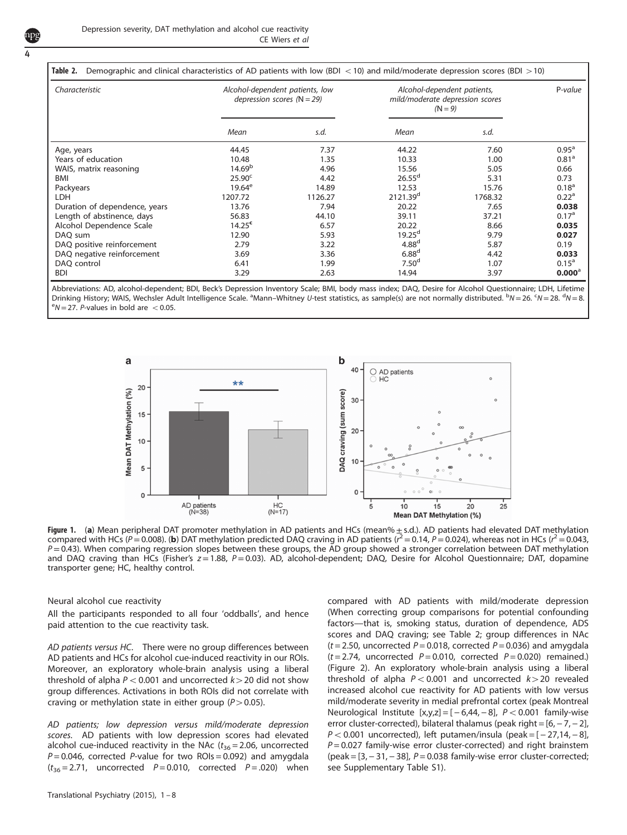<span id="page-3-0"></span>

| Table 2.<br>Demographic and clinical characteristics of AD patients with low (BDI < 10) and mild/moderate depression scores (BDI > 10) |                                                                   |         |                                                                             |         |                   |  |  |  |
|----------------------------------------------------------------------------------------------------------------------------------------|-------------------------------------------------------------------|---------|-----------------------------------------------------------------------------|---------|-------------------|--|--|--|
| Characteristic                                                                                                                         | Alcohol-dependent patients, low<br>depression scores ( $N = 29$ ) |         | Alcohol-dependent patients,<br>mild/moderate depression scores<br>$(N = 9)$ |         | P-value           |  |  |  |
|                                                                                                                                        | Mean                                                              | s.d.    | Mean                                                                        | s.d.    |                   |  |  |  |
| Age, years                                                                                                                             | 44.45                                                             | 7.37    | 44.22                                                                       | 7.60    | $0.95^{\circ}$    |  |  |  |
| Years of education                                                                                                                     | 10.48                                                             | 1.35    | 10.33                                                                       | 1.00    | 0.81 <sup>a</sup> |  |  |  |
| WAIS, matrix reasoning                                                                                                                 | 14.69 <sup>b</sup>                                                | 4.96    | 15.56                                                                       | 5.05    | 0.66              |  |  |  |
| <b>BMI</b>                                                                                                                             | 25.90 <sup>c</sup>                                                | 4.42    | $26.55^d$                                                                   | 5.31    | 0.73              |  |  |  |
| Packyears                                                                                                                              | $19.64^e$                                                         | 14.89   | 12.53                                                                       | 15.76   | 0.18 <sup>a</sup> |  |  |  |
| <b>LDH</b>                                                                                                                             | 1207.72                                                           | 1126.27 | 2121.39 <sup>d</sup>                                                        | 1768.32 | 0.22 <sup>a</sup> |  |  |  |
| Duration of dependence, years                                                                                                          | 13.76                                                             | 7.94    | 20.22                                                                       | 7.65    | 0.038             |  |  |  |
| Length of abstinence, days                                                                                                             | 56.83                                                             | 44.10   | 39.11                                                                       | 37.21   | 0.17 <sup>a</sup> |  |  |  |
| Alcohol Dependence Scale                                                                                                               | 14.25 <sup>c</sup>                                                | 6.57    | 20.22                                                                       | 8.66    | 0.035             |  |  |  |
| DAO sum                                                                                                                                | 12.90                                                             | 5.93    | $19.25^d$                                                                   | 9.79    | 0.027             |  |  |  |
| DAQ positive reinforcement                                                                                                             | 2.79                                                              | 3.22    | 4.88 <sup>d</sup>                                                           | 5.87    | 0.19              |  |  |  |
| DAQ negative reinforcement                                                                                                             | 3.69                                                              | 3.36    | 6.88 <sup>d</sup>                                                           | 4.42    | 0.033             |  |  |  |
| DAQ control                                                                                                                            | 6.41                                                              | 1.99    | 7.50 <sup>d</sup>                                                           | 1.07    | $0.15^{\circ}$    |  |  |  |
| <b>BDI</b>                                                                                                                             | 3.29                                                              | 2.63    | 14.94                                                                       | 3.97    | $0.000^{\circ}$   |  |  |  |

Abbreviations: AD, alcohol-dependent; BDI, Beck's Depression Inventory Scale; BMI, body mass index; DAQ, Desire for Alcohol Questionnaire; LDH, Lifetime Drinking History; WAIS, Wechsler Adult Intelligence Scale. <sup>a</sup>Mann–Whitney U-test statistics, as sample(s) are not normally distributed. <sup>b</sup>N = 26. <sup>c</sup>N = 28. <sup>d</sup>N = 8.<br><sup>e</sup>M = 27. e values in bold are < 0.05.  $e^{\theta}N = 27$ . P-values in bold are  $< 0.05$ .



Figure 1. (a) Mean peripheral DAT promoter methylation in AD patients and HCs (mean%  $\pm$  s.d.). AD patients had elevated DAT methylation compared with HCs (P = 0.008). (b) DAT methylation predicted DAQ craving in AD patients ( $\vec{r}$  = 0.14, P = 0.024), whereas not in HCs ( $\vec{r}$  = 0.043,  $P=0.43$ ). When comparing regression slopes between these groups, the AD group showed a stronger correlation between DAT methylation and DAQ craving than HCs (Fisher's  $z = 1.88$ ,  $P = 0.03$ ). AD, alcohol-dependent; DAQ, Desire for Alcohol Questionnaire; DAT, dopamine transporter gene; HC, healthy control.

## Neural alcohol cue reactivity

All the participants responded to all four 'oddballs', and hence paid attention to the cue reactivity task.

AD patients versus HC. There were no group differences between AD patients and HCs for alcohol cue-induced reactivity in our ROIs. Moreover, an exploratory whole-brain analysis using a liberal threshold of alpha  $P < 0.001$  and uncorrected  $k > 20$  did not show group differences. Activations in both ROIs did not correlate with craving or methylation state in either group ( $P > 0.05$ ).

AD patients; low depression versus mild/moderate depression scores. AD patients with low depression scores had elevated alcohol cue-induced reactivity in the NAc ( $t_{36}$  = 2.06, uncorrected  $P = 0.046$ , corrected P-value for two ROIs = 0.092) and amygdala  $(t_{36} = 2.71$ , uncorrected  $P = 0.010$ , corrected  $P = .020$ ) when compared with AD patients with mild/moderate depression (When correcting group comparisons for potential confounding factors—that is, smoking status, duration of dependence, ADS scores and DAQ craving; see Table 2; group differences in NAc  $(t = 2.50$ , uncorrected  $P = 0.018$ , corrected  $P = 0.036$ ) and amygdala  $(t = 2.74$ , uncorrected  $P = 0.010$ , corrected  $P = 0.020$ ) remained.) ([Figure 2\)](#page-4-0). An exploratory whole-brain analysis using a liberal threshold of alpha  $P < 0.001$  and uncorrected  $k > 20$  revealed increased alcohol cue reactivity for AD patients with low versus mild/moderate severity in medial prefrontal cortex (peak Montreal Neurological Institute  $[x,y,z] = [-6,44,-8]$ ,  $P < 0.001$  family-wise error cluster-corrected), bilateral thalamus (peak right =  $[6, -7, -2]$ ,  $P < 0.001$  uncorrected), left putamen/insula (peak =  $[-27, 14, -8]$ ,  $P = 0.027$  family-wise error cluster-corrected) and right brainstem (peak = [3, − 31, − 38], P = 0.038 family-wise error cluster-corrected; see Supplementary Table S1).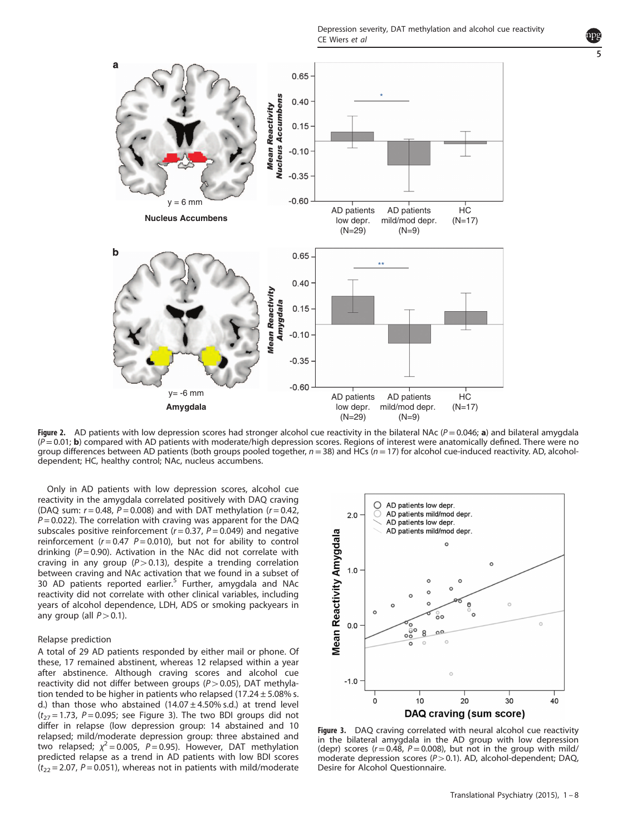Depression severity, DAT methylation and alcohol cue reactivity CE Wiers et al

<span id="page-4-0"></span>

Figure 2. AD patients with low depression scores had stronger alcohol cue reactivity in the bilateral NAc ( $P = 0.046$ ; a) and bilateral amygdala  $(P=0.01; \mathbf{b})$  compared with AD patients with moderate/high depression scores. Regions of interest were anatomically defined. There were no group differences between AD patients (both groups pooled together,  $n=38$ ) and HCs ( $n=17$ ) for alcohol cue-induced reactivity. AD, alcoholdependent; HC, healthy control; NAc, nucleus accumbens.

Only in AD patients with low depression scores, alcohol cue reactivity in the amygdala correlated positively with DAQ craving (DAQ sum:  $r = 0.48$ ,  $P = 0.008$ ) and with DAT methylation ( $r = 0.42$ ,  $P = 0.022$ ). The correlation with craving was apparent for the DAQ subscales positive reinforcement ( $r = 0.37$ ,  $P = 0.049$ ) and negative reinforcement ( $r = 0.47$   $P = 0.010$ ), but not for ability to control drinking ( $P = 0.90$ ). Activation in the NAc did not correlate with craving in any group ( $P > 0.13$ ), despite a trending correlation between craving and NAc activation that we found in a subset of 30 AD patients reported earlier.<sup>[5](#page-6-0)</sup> Further, amygdala and NAc reactivity did not correlate with other clinical variables, including years of alcohol dependence, LDH, ADS or smoking packyears in any group (all  $P > 0.1$ ).

## Relapse prediction

A total of 29 AD patients responded by either mail or phone. Of these, 17 remained abstinent, whereas 12 relapsed within a year after abstinence. Although craving scores and alcohol cue reactivity did not differ between groups ( $P > 0.05$ ), DAT methylation tended to be higher in patients who relapsed  $(17.24 \pm 5.08\%$  s. d.) than those who abstained  $(14.07 \pm 4.50\% \text{ s.d.})$  at trend level  $(t_{27} = 1.73, P = 0.095;$  see Figure 3). The two BDI groups did not differ in relapse (low depression group: 14 abstained and 10 relapsed; mild/moderate depression group: three abstained and two relapsed;  $\chi^2$  = 0.005, P = 0.95). However, DAT methylation predicted relapse as a trend in AD patients with low BDI scores  $(t_{22} = 2.07, P = 0.051)$ , whereas not in patients with mild/moderate



Figure 3. DAQ craving correlated with neural alcohol cue reactivity in the bilateral amygdala in the AD group with low depression (depr) scores ( $r = 0.48$ ,  $P = 0.008$ ), but not in the group with mild/ moderate depression scores ( $P > 0.1$ ). AD, alcohol-dependent; DAQ, Desire for Alcohol Questionnaire.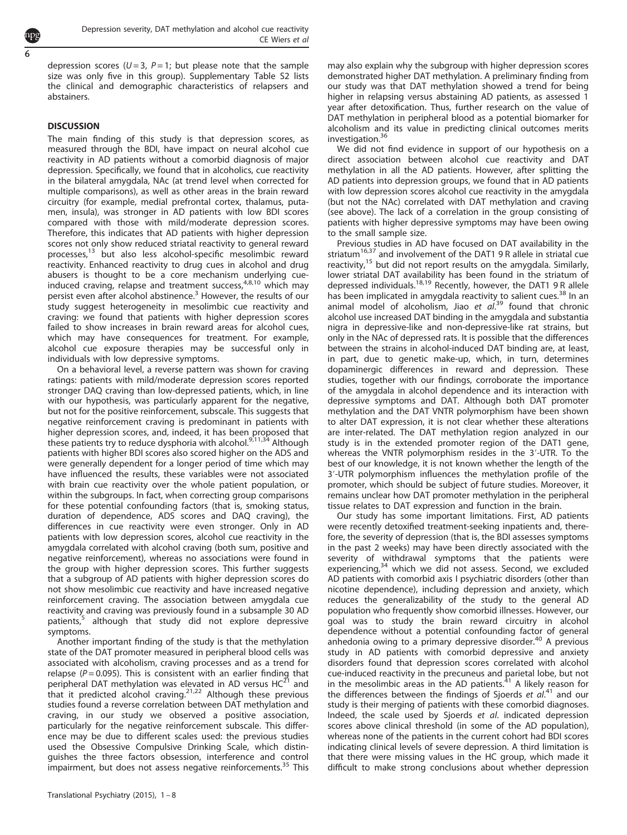depression scores ( $U = 3$ ,  $P = 1$ ; but please note that the sample size was only five in this group). Supplementary Table S2 lists the clinical and demographic characteristics of relapsers and abstainers.

# **DISCUSSION**

The main finding of this study is that depression scores, as measured through the BDI, have impact on neural alcohol cue reactivity in AD patients without a comorbid diagnosis of major depression. Specifically, we found that in alcoholics, cue reactivity in the bilateral amygdala, NAc (at trend level when corrected for multiple comparisons), as well as other areas in the brain reward circuitry (for example, medial prefrontal cortex, thalamus, putamen, insula), was stronger in AD patients with low BDI scores compared with those with mild/moderate depression scores. Therefore, this indicates that AD patients with higher depression scores not only show reduced striatal reactivity to general reward processes,[13](#page-6-0) but also less alcohol-specific mesolimbic reward reactivity. Enhanced reactivity to drug cues in alcohol and drug abusers is thought to be a core mechanism underlying cueinduced craving, relapse and treatment success, $4,8,10$  $4,8,10$  $4,8,10$  which may persist even after alcohol abstinence.<sup>[3](#page-6-0)</sup> However, the results of our study suggest heterogeneity in mesolimbic cue reactivity and craving: we found that patients with higher depression scores failed to show increases in brain reward areas for alcohol cues, which may have consequences for treatment. For example, alcohol cue exposure therapies may be successful only in individuals with low depressive symptoms.

On a behavioral level, a reverse pattern was shown for craving ratings: patients with mild/moderate depression scores reported stronger DAQ craving than low-depressed patients, which, in line with our hypothesis, was particularly apparent for the negative, but not for the positive reinforcement, subscale. This suggests that negative reinforcement craving is predominant in patients with higher depression scores, and, indeed, it has been proposed that these patients try to reduce dysphoria with alcohol.<sup>[9,11,34](#page-6-0)</sup> Although patients with higher BDI scores also scored higher on the ADS and were generally dependent for a longer period of time which may have influenced the results, these variables were not associated with brain cue reactivity over the whole patient population, or within the subgroups. In fact, when correcting group comparisons for these potential confounding factors (that is, smoking status, duration of dependence, ADS scores and DAQ craving), the differences in cue reactivity were even stronger. Only in AD patients with low depression scores, alcohol cue reactivity in the amygdala correlated with alcohol craving (both sum, positive and negative reinforcement), whereas no associations were found in the group with higher depression scores. This further suggests that a subgroup of AD patients with higher depression scores do not show mesolimbic cue reactivity and have increased negative reinforcement craving. The association between amygdala cue reactivity and craving was previously found in a subsample 30 AD patients,<sup>[5](#page-6-0)</sup> although that study did not explore depressive symptoms.

Another important finding of the study is that the methylation state of the DAT promoter measured in peripheral blood cells was associated with alcoholism, craving processes and as a trend for relapse ( $P = 0.095$ ). This is consistent with an earlier finding that peripheral DAT methylation was elevated in AD versus HC<sup>[21](#page-6-0)</sup> and that it predicted alcohol craving.<sup>[21,22](#page-6-0)</sup> Although these previous studies found a reverse correlation between DAT methylation and craving, in our study we observed a positive association, particularly for the negative reinforcement subscale. This difference may be due to different scales used: the previous studies used the Obsessive Compulsive Drinking Scale, which distinguishes the three factors obsession, interference and control impairment, but does not assess negative reinforcements.<sup>[35](#page-7-0)</sup> This may also explain why the subgroup with higher depression scores demonstrated higher DAT methylation. A preliminary finding from our study was that DAT methylation showed a trend for being higher in relapsing versus abstaining AD patients, as assessed 1 year after detoxification. Thus, further research on the value of DAT methylation in peripheral blood as a potential biomarker for alcoholism and its value in predicting clinical outcomes merits investigation[.36](#page-7-0)

We did not find evidence in support of our hypothesis on a direct association between alcohol cue reactivity and DAT methylation in all the AD patients. However, after splitting the AD patients into depression groups, we found that in AD patients with low depression scores alcohol cue reactivity in the amygdala (but not the NAc) correlated with DAT methylation and craving (see above). The lack of a correlation in the group consisting of patients with higher depressive symptoms may have been owing to the small sample size.

Previous studies in AD have focused on DAT availability in the striatum $16,37$  $16,37$  and involvement of the DAT1 9 R allele in striatal cue reactivity, $15$  but did not report results on the amygdala. Similarly, lower striatal DAT availability has been found in the striatum of depressed individuals.[18,19](#page-6-0) Recently, however, the DAT1 9 R allele has been implicated in amygdala reactivity to salient cues.<sup>[38](#page-7-0)</sup> In an animal model of alcoholism, Jiao et  $a^{1.39}$  $a^{1.39}$  $a^{1.39}$  found that chronic alcohol use increased DAT binding in the amygdala and substantia nigra in depressive-like and non-depressive-like rat strains, but only in the NAc of depressed rats. It is possible that the differences between the strains in alcohol-induced DAT binding are, at least, in part, due to genetic make-up, which, in turn, determines dopaminergic differences in reward and depression. These studies, together with our findings, corroborate the importance of the amygdala in alcohol dependence and its interaction with depressive symptoms and DAT. Although both DAT promoter methylation and the DAT VNTR polymorphism have been shown to alter DAT expression, it is not clear whether these alterations are inter-related. The DAT methylation region analyzed in our study is in the extended promoter region of the DAT1 gene, whereas the VNTR polymorphism resides in the 3′-UTR. To the best of our knowledge, it is not known whether the length of the 3′-UTR polymorphism influences the methylation profile of the promoter, which should be subject of future studies. Moreover, it remains unclear how DAT promoter methylation in the peripheral tissue relates to DAT expression and function in the brain.

Our study has some important limitations. First, AD patients were recently detoxified treatment-seeking inpatients and, therefore, the severity of depression (that is, the BDI assesses symptoms in the past 2 weeks) may have been directly associated with the severity of withdrawal symptoms that the patients were experiencing,<sup>[34](#page-6-0)</sup> which we did not assess. Second, we excluded AD patients with comorbid axis I psychiatric disorders (other than nicotine dependence), including depression and anxiety, which reduces the generalizability of the study to the general AD population who frequently show comorbid illnesses. However, our goal was to study the brain reward circuitry in alcohol dependence without a potential confounding factor of general anhedonia owing to a primary depressive disorder.<sup>[40](#page-7-0)</sup> A previous study in AD patients with comorbid depressive and anxiety disorders found that depression scores correlated with alcohol cue-induced reactivity in the precuneus and parietal lobe, but not in the mesolimbic areas in the AD patients.<sup>[41](#page-7-0)</sup> A likely reason for the differences between the findings of Sjoerds et  $aI^{(4)}$  and our study is their merging of patients with these comorbid diagnoses. Indeed, the scale used by Sjoerds et al. indicated depression scores above clinical threshold (in some of the AD population), whereas none of the patients in the current cohort had BDI scores indicating clinical levels of severe depression. A third limitation is that there were missing values in the HC group, which made it difficult to make strong conclusions about whether depression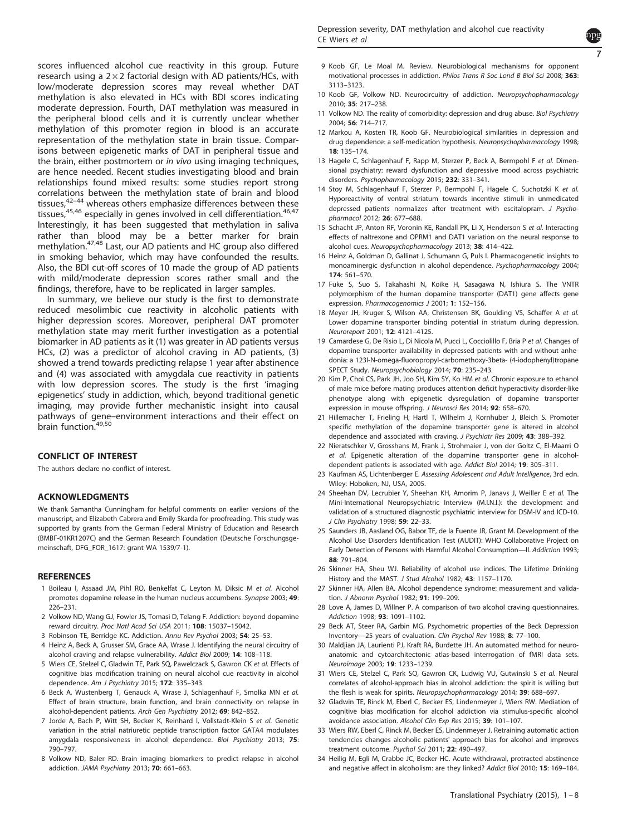<span id="page-6-0"></span>

In summary, we believe our study is the first to demonstrate reduced mesolimbic cue reactivity in alcoholic patients with higher depression scores. Moreover, peripheral DAT promoter methylation state may merit further investigation as a potential biomarker in AD patients as it (1) was greater in AD patients versus HCs, (2) was a predictor of alcohol craving in AD patients, (3) showed a trend towards predicting relapse 1 year after abstinence and (4) was associated with amygdala cue reactivity in patients with low depression scores. The study is the first 'imaging epigenetics' study in addiction, which, beyond traditional genetic imaging, may provide further mechanistic insight into causal pathways of gene–environment interactions and their effect on brain function.[49,50](#page-7-0)

# CONFLICT OF INTEREST

The authors declare no conflict of interest.

# ACKNOWLEDGMENTS

We thank Samantha Cunningham for helpful comments on earlier versions of the manuscript, and Elizabeth Cabrera and Emily Skarda for proofreading. This study was supported by grants from the German Federal Ministry of Education and Research (BMBF-01KR1207C) and the German Research Foundation (Deutsche Forschungsgemeinschaft, DFG\_FOR\_1617: grant WA 1539/7-1).

#### REFERENCES

- 1 Boileau I, Assaad JM, Pihl RO, Benkelfat C, Leyton M, Diksic M et al. Alcohol promotes dopamine release in the human nucleus accumbens. Synapse 2003; 49: 226–231.
- 2 Volkow ND, Wang GJ, Fowler JS, Tomasi D, Telang F. Addiction: beyond dopamine reward circuitry. Proc Natl Acad Sci USA 2011; 108: 15037–15042.
- 3 Robinson TE, Berridge KC. Addiction. Annu Rev Psychol 2003; 54: 25–53.
- 4 Heinz A, Beck A, Grusser SM, Grace AA, Wrase J. Identifying the neural circuitry of alcohol craving and relapse vulnerability. Addict Biol 2009; 14: 108–118.
- 5 Wiers CE, Stelzel C, Gladwin TE, Park SQ, Pawelczack S, Gawron CK et al. Effects of cognitive bias modification training on neural alcohol cue reactivity in alcohol dependence. Am J Psychiatry 2015; 172: 335–343.
- 6 Beck A, Wustenberg T, Genauck A, Wrase J, Schlagenhauf F, Smolka MN et al. Effect of brain structure, brain function, and brain connectivity on relapse in alcohol-dependent patients. Arch Gen Psychiatry 2012; 69: 842–852.
- 7 Jorde A, Bach P, Witt SH, Becker K, Reinhard I, Vollstadt-Klein S et al. Genetic variation in the atrial natriuretic peptide transcription factor GATA4 modulates amygdala responsiveness in alcohol dependence. Biol Psychiatry 2013; 75: 790–797.
- 8 Volkow ND, Baler RD. Brain imaging biomarkers to predict relapse in alcohol addiction. JAMA Psychiatry 2013; 70: 661–663.

9 Koob GF, Le Moal M. Review. Neurobiological mechanisms for opponent motivational processes in addiction. Philos Trans R Soc Lond B Biol Sci 2008; 363: 3113–3123.

7

- 10 Koob GF, Volkow ND. Neurocircuitry of addiction. Neuropsychopharmacology 2010; 35: 217–238.
- 11 Volkow ND. The reality of comorbidity: depression and drug abuse. Biol Psychiatry 2004; 56: 714–717.
- 12 Markou A, Kosten TR, Koob GF. Neurobiological similarities in depression and drug dependence: a self-medication hypothesis. Neuropsychopharmacology 1998; 18: 135–174.
- 13 Hagele C, Schlagenhauf F, Rapp M, Sterzer P, Beck A, Bermpohl F et al. Dimensional psychiatry: reward dysfunction and depressive mood across psychiatric disorders. Psychopharmacology 2015; 232: 331–341.
- 14 Stoy M, Schlagenhauf F, Sterzer P, Bermpohl F, Hagele C, Suchotzki K et al. Hyporeactivity of ventral striatum towards incentive stimuli in unmedicated depressed patients normalizes after treatment with escitalopram. J Psychopharmacol 2012; 26: 677–688.
- 15 Schacht JP, Anton RF, Voronin KE, Randall PK, Li X, Henderson S et al. Interacting effects of naltrexone and OPRM1 and DAT1 variation on the neural response to alcohol cues. Neuropsychopharmacology 2013; 38: 414–422.
- 16 Heinz A, Goldman D, Gallinat J, Schumann G, Puls I. Pharmacogenetic insights to monoaminergic dysfunction in alcohol dependence. Psychopharmacology 2004; 174: 561–570.
- 17 Fuke S, Suo S, Takahashi N, Koike H, Sasagawa N, Ishiura S. The VNTR polymorphism of the human dopamine transporter (DAT1) gene affects gene expression. Pharmacogenomics J 2001; 1: 152–156.
- 18 Meyer JH, Kruger S, Wilson AA, Christensen BK, Goulding VS, Schaffer A et al. Lower dopamine transporter binding potential in striatum during depression. Neuroreport 2001; 12: 4121–4125.
- 19 Camardese G, De Risio L, Di Nicola M, Pucci L, Cocciolillo F, Bria P et al. Changes of dopamine transporter availability in depressed patients with and without anhedonia: a 123I-N-omega-fluoropropyl-carbomethoxy-3beta- (4-iodophenyl)tropane SPECT Study. Neuropsychobiology 2014; 70: 235–243.
- 20 Kim P, Choi CS, Park JH, Joo SH, Kim SY, Ko HM et al. Chronic exposure to ethanol of male mice before mating produces attention deficit hyperactivity disorder-like phenotype along with epigenetic dysregulation of dopamine transporter expression in mouse offspring. J Neurosci Res 2014; 92: 658–670.
- 21 Hillemacher T, Frieling H, Hartl T, Wilhelm J, Kornhuber J, Bleich S. Promoter specific methylation of the dopamine transporter gene is altered in alcohol dependence and associated with craving. J Psychiatr Res 2009; 43: 388-392.
- 22 Nieratschker V, Grosshans M, Frank J, Strohmaier J, von der Goltz C, El-Maarri O et al. Epigenetic alteration of the dopamine transporter gene in alcoholdependent patients is associated with age. Addict Biol 2014; 19: 305–311.
- 23 Kaufman AS, Lichtenberger E. Assessing Adolescent and Adult Intelligence, 3rd edn. Wiley: Hoboken, NJ, USA, 2005.
- 24 Sheehan DV, Lecrubier Y, Sheehan KH, Amorim P, Janays J, Weiller E et al. The Mini-International Neuropsychiatric Interview (M.I.N.I.): the development and validation of a structured diagnostic psychiatric interview for DSM-IV and ICD-10. J Clin Psychiatry 1998; 59: 22–33.
- 25 Saunders JB, Aasland OG, Babor TF, de la Fuente JR, Grant M. Development of the Alcohol Use Disorders Identification Test (AUDIT): WHO Collaborative Project on Early Detection of Persons with Harmful Alcohol Consumption—II. Addiction 1993; 88: 791–804.
- 26 Skinner HA, Sheu WJ. Reliability of alcohol use indices. The Lifetime Drinking History and the MAST. J Stud Alcohol 1982; 43: 1157–1170.
- 27 Skinner HA, Allen BA. Alcohol dependence syndrome: measurement and validation. J Abnorm Psychol 1982; 91: 199–209.
- 28 Love A, James D, Willner P. A comparison of two alcohol craving questionnaires. Addiction 1998; 93: 1091–1102.
- 29 Beck AT, Steer RA, Garbin MG. Psychometric properties of the Beck Depression Inventory—25 years of evaluation. Clin Psychol Rev 1988; 8: 77–100.
- 30 Maldjian JA, Laurienti PJ, Kraft RA, Burdette JH. An automated method for neuroanatomic and cytoarchitectonic atlas-based interrogation of fMRI data sets. Neuroimage 2003; 19: 1233–1239.
- 31 Wiers CE, Stelzel C, Park SQ, Gawron CK, Ludwig VU, Gutwinski S et al. Neural correlates of alcohol-approach bias in alcohol addiction: the spirit is willing but the flesh is weak for spirits. Neuropsychopharmacology 2014; 39: 688-697.
- 32 Gladwin TE, Rinck M, Eberl C, Becker ES, Lindenmeyer J, Wiers RW. Mediation of cognitive bias modification for alcohol addiction via stimulus-specific alcohol avoidance association. Alcohol Clin Exp Res 2015; 39: 101–107.
- 33 Wiers RW, Eberl C, Rinck M, Becker ES, Lindenmeyer J. Retraining automatic action tendencies changes alcoholic patients' approach bias for alcohol and improves treatment outcome. Psychol Sci 2011; 22: 490–497.
- 34 Heilig M, Egli M, Crabbe JC, Becker HC. Acute withdrawal, protracted abstinence and negative affect in alcoholism: are they linked? Addict Biol 2010; 15: 169–184.